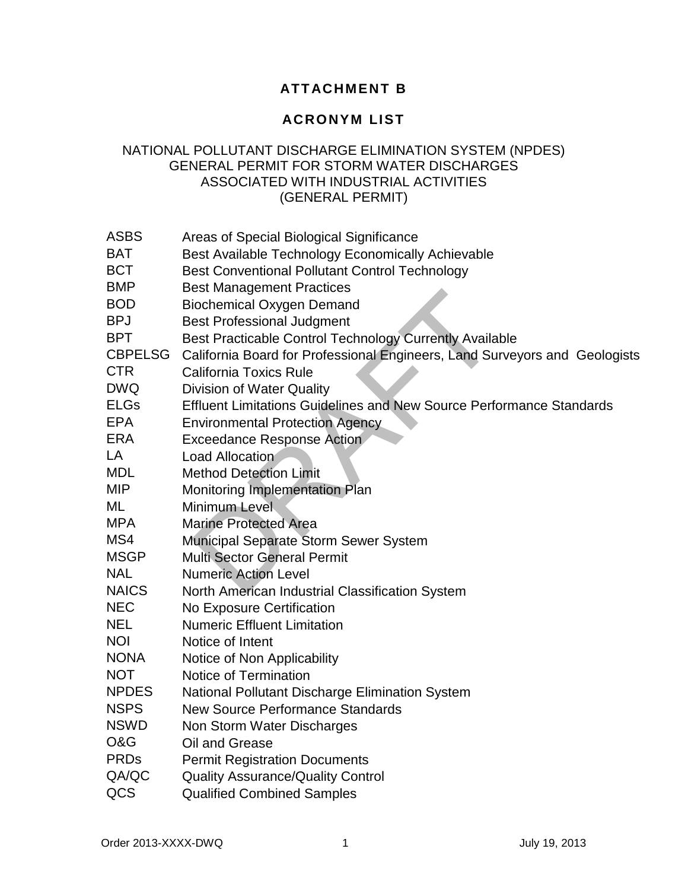## **ATTACHMENT B**

## **ACRONYM LIST**

## NATIONAL POLLUTANT DISCHARGE ELIMINATION SYSTEM (NPDES) GENERAL PERMIT FOR STORM WATER DISCHARGES ASSOCIATED WITH INDUSTRIAL ACTIVITIES (GENERAL PERMIT)

| <b>ASBS</b>               | Areas of Special Biological Significance                                    |
|---------------------------|-----------------------------------------------------------------------------|
| <b>BAT</b>                | Best Available Technology Economically Achievable                           |
| <b>BCT</b>                | <b>Best Conventional Pollutant Control Technology</b>                       |
| <b>BMP</b>                | <b>Best Management Practices</b>                                            |
| <b>BOD</b>                | <b>Biochemical Oxygen Demand</b>                                            |
| <b>BPJ</b>                | <b>Best Professional Judgment</b>                                           |
| <b>BPT</b>                | Best Practicable Control Technology Currently Available                     |
| <b>CBPELSG</b>            | California Board for Professional Engineers, Land Surveyors and Geologists  |
| <b>CTR</b>                | <b>California Toxics Rule</b>                                               |
| <b>DWQ</b>                | <b>Division of Water Quality</b>                                            |
| <b>ELGs</b><br><b>EPA</b> | <b>Effluent Limitations Guidelines and New Source Performance Standards</b> |
|                           | <b>Environmental Protection Agency</b>                                      |
| <b>ERA</b>                | <b>Exceedance Response Action</b>                                           |
| LA<br><b>MDL</b>          | Load Allocation                                                             |
|                           | <b>Method Detection Limit</b>                                               |
| <b>MIP</b>                | Monitoring Implementation Plan                                              |
| ML                        | Minimum Level                                                               |
| <b>MPA</b>                | <b>Marine Protected Area</b>                                                |
| MS4                       | Municipal Separate Storm Sewer System                                       |
| <b>MSGP</b>               | <b>Multi Sector General Permit</b>                                          |
| <b>NAL</b>                | <b>Numeric Action Level</b>                                                 |
| <b>NAICS</b>              | North American Industrial Classification System                             |
| <b>NEC</b>                | No Exposure Certification                                                   |
| <b>NEL</b>                | <b>Numeric Effluent Limitation</b>                                          |
| <b>NOI</b>                | Notice of Intent                                                            |
| <b>NONA</b>               | Notice of Non Applicability                                                 |
| <b>NOT</b>                | Notice of Termination                                                       |
| <b>NPDES</b>              | National Pollutant Discharge Elimination System                             |
| <b>NSPS</b>               | <b>New Source Performance Standards</b>                                     |
| <b>NSWD</b>               | Non Storm Water Discharges                                                  |
| O&G                       | Oil and Grease                                                              |
| <b>PRDs</b>               | <b>Permit Registration Documents</b>                                        |
| QA/QC                     | <b>Quality Assurance/Quality Control</b>                                    |
| QCS                       | <b>Qualified Combined Samples</b>                                           |